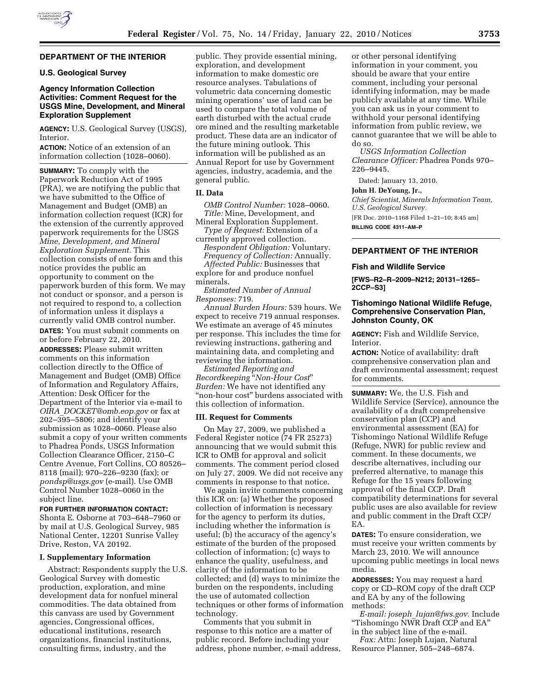

### **DEPARTMENT OF THE INTERIOR**

# **U.S. Geological Survey**

# **Agency Information Collection Activities: Comment Request for the USGS Mine, Development, and Mineral Exploration Supplement**

**AGENCY:** U.S. Geological Survey (USGS), Interior.

**ACTION:** Notice of an extension of an information collection (1028–0060).

**SUMMARY:** To comply with the Paperwork Reduction Act of 1995 (PRA), we are notifying the public that we have submitted to the Office of Management and Budget (OMB) an information collection request (ICR) for the extension of the currently approved paperwork requirements for the USGS *Mine, Development, and Mineral Exploration Supplement.* This collection consists of one form and this notice provides the public an opportunity to comment on the paperwork burden of this form. We may not conduct or sponsor, and a person is not required to respond to, a collection of information unless it displays a currently valid OMB control number. **DATES:** You must submit comments on or before February 22, 2010.

**ADDRESSES:** Please submit written comments on this information collection directly to the Office of Management and Budget (OMB) Office of Information and Regulatory Affairs, Attention: Desk Officer for the Department of the Interior via e-mail to *OIRA*\_*DOCKET@omb.eop.gov* or fax at 202–395–5806; and identify your submission as 1028–0060. Please also submit a copy of your written comments to Phadrea Ponds, USGS Information Collection Clearance Officer, 2150–C Centre Avenue, Fort Collins, CO 80526– 8118 (mail); 970–226–9230 (fax); or *pondsp@usgs.gov* (e-mail). Use OMB Control Number 1028–0060 in the subject line.

**FOR FURTHER INFORMATION CONTACT:**  Shonta E. Osborne at 703–648–7960 or by mail at U.S. Geological Survey, 985 National Center, 12201 Sunrise Valley Drive, Reston, VA 20192.

### **I. Supplementary Information**

Abstract: Respondents supply the U.S. Geological Survey with domestic production, exploration, and mine development data for nonfuel mineral commodities. The data obtained from this canvass are used by Government agencies, Congressional offices, educational institutions, research organizations, financial institutions, consulting firms, industry, and the

public. They provide essential mining, exploration, and development information to make domestic ore resource analyses. Tabulations of volumetric data concerning domestic mining operations' use of land can be used to compare the total volume of earth disturbed with the actual crude ore mined and the resulting marketable product. These data are an indicator of the future mining outlook. This information will be published as an Annual Report for use by Government agencies, industry, academia, and the general public.

# **II. Data**

*OMB Control Number:* 1028–0060. *Title:* Mine, Development, and Mineral Exploration Supplement.

*Type of Request:* Extension of a currently approved collection.

*Respondent Obligation:* Voluntary. *Frequency of Collection:* Annually. *Affected Public:* Businesses that

explore for and produce nonfuel minerals.

*Estimated Number of Annual Responses:* 719.

*Annual Burden Hours:* 539 hours. We expect to receive 719 annual responses. We estimate an average of 45 minutes per response. This includes the time for reviewing instructions, gathering and maintaining data, and completing and reviewing the information.

*Estimated Reporting and Recordkeeping* ''*Non-Hour Cost*'' *Burden:* We have not identified any "non-hour cost" burdens associated with this collection of information.

# **III. Request for Comments**

On May 27, 2009, we published a Federal Register notice (74 FR 25273) announcing that we would submit this ICR to OMB for approval and solicit comments. The comment period closed on July 27, 2009. We did not receive any comments in response to that notice.

We again invite comments concerning this ICR on: (a) Whether the proposed collection of information is necessary for the agency to perform its duties, including whether the information is useful; (b) the accuracy of the agency's estimate of the burden of the proposed collection of information; (c) ways to enhance the quality, usefulness, and clarity of the information to be collected; and (d) ways to minimize the burden on the respondents, including the use of automated collection techniques or other forms of information technology.

Comments that you submit in response to this notice are a matter of public record. Before including your address, phone number, e-mail address,

or other personal identifying information in your comment, you should be aware that your entire comment, including your personal identifying information, may be made publicly available at any time. While you can ask us in your comment to withhold your personal identifying information from public review, we cannot guarantee that we will be able to do so.

*USGS Information Collection Clearance Officer:* Phadrea Ponds 970– 226–9445.

Dated: January 13, 2010.

### **John H. DeYoung, Jr.,**

*Chief Scientist, Minerals Information Team, U.S. Geological Survey.* 

[FR Doc. 2010–1168 Filed 1–21–10; 8:45 am] **BILLING CODE 4311–AM–P** 

**DEPARTMENT OF THE INTERIOR** 

#### **Fish and Wildlife Service**

**[FWS–R2–R–2009–N212; 20131–1265– 2CCP–S3]** 

# **Tishomingo National Wildlife Refuge, Comprehensive Conservation Plan, Johnston County, OK**

**AGENCY:** Fish and Wildlife Service, Interior.

**ACTION:** Notice of availability: draft comprehensive conservation plan and draft environmental assessment; request for comments.

**SUMMARY:** We, the U.S. Fish and Wildlife Service (Service), announce the availability of a draft comprehensive conservation plan (CCP) and environmental assessment (EA) for Tishomingo National Wildlife Refuge (Refuge, NWR) for public review and comment. In these documents, we describe alternatives, including our preferred alternative, to manage this Refuge for the 15 years following approval of the final CCP. Draft compatibility determinations for several public uses are also available for review and public comment in the Draft CCP/ EA.

**DATES:** To ensure consideration, we must receive your written comments by March 23, 2010. We will announce upcoming public meetings in local news media.

**ADDRESSES:** You may request a hard copy or CD–ROM copy of the draft CCP and EA by any of the following methods:

*E-mail: joseph*\_*lujan@fws.gov.* Include ''Tishomingo NWR Draft CCP and EA'' in the subject line of the e-mail.

*Fax:* Attn: Joseph Lujan, Natural Resource Planner, 505–248–6874.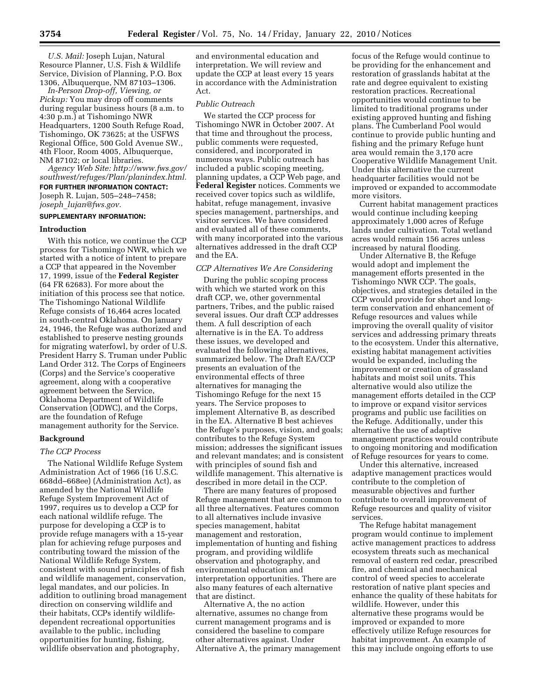*U.S. Mail:* Joseph Lujan, Natural Resource Planner, U.S. Fish & Wildlife Service, Division of Planning, P.O. Box 1306, Albuquerque, NM 87103–1306.

*In-Person Drop-off, Viewing, or Pickup:* You may drop off comments during regular business hours (8 a.m. to 4:30 p.m.) at Tishomingo NWR Headquarters, 1200 South Refuge Road, Tishomingo, OK 73625; at the USFWS Regional Office, 500 Gold Avenue SW., 4th Floor, Room 4005, Albuquerque, NM 87102; or local libraries*.* 

*Agency Web Site: http://www.fws.gov/ southwest/refuges/Plan/planindex.html.*  **FOR FURTHER INFORMATION CONTACT:**  Joseph R. Lujan, 505–248–7458; *joseph*\_*lujan@fws.gov.* 

### **SUPPLEMENTARY INFORMATION:**

#### **Introduction**

With this notice, we continue the CCP process for Tishomingo NWR, which we started with a notice of intent to prepare a CCP that appeared in the November 17, 1999, issue of the **Federal Register**  (64 FR 62683). For more about the initiation of this process see that notice. The Tishomingo National Wildlife Refuge consists of 16,464 acres located in south-central Oklahoma. On January 24, 1946, the Refuge was authorized and established to preserve nesting grounds for migrating waterfowl, by order of U.S. President Harry S. Truman under Public Land Order 312. The Corps of Engineers (Corps) and the Service's cooperative agreement, along with a cooperative agreement between the Service, Oklahoma Department of Wildlife Conservation (ODWC), and the Corps, are the foundation of Refuge management authority for the Service.

#### **Background**

### *The CCP Process*

The National Wildlife Refuge System Administration Act of 1966 (16 U.S.C. 668dd–668ee) (Administration Act), as amended by the National Wildlife Refuge System Improvement Act of 1997, requires us to develop a CCP for each national wildlife refuge. The purpose for developing a CCP is to provide refuge managers with a 15-year plan for achieving refuge purposes and contributing toward the mission of the National Wildlife Refuge System, consistent with sound principles of fish and wildlife management, conservation, legal mandates, and our policies. In addition to outlining broad management direction on conserving wildlife and their habitats, CCPs identify wildlifedependent recreational opportunities available to the public, including opportunities for hunting, fishing, wildlife observation and photography,

and environmental education and interpretation. We will review and update the CCP at least every 15 years in accordance with the Administration Act.

#### *Public Outreach*

We started the CCP process for Tishomingo NWR in October 2007. At that time and throughout the process, public comments were requested, considered, and incorporated in numerous ways. Public outreach has included a public scoping meeting, planning updates, a CCP Web page, and **Federal Register** notices. Comments we received cover topics such as wildlife, habitat, refuge management, invasive species management, partnerships, and visitor services. We have considered and evaluated all of these comments, with many incorporated into the various alternatives addressed in the draft CCP and the EA.

#### *CCP Alternatives We Are Considering*

During the public scoping process with which we started work on this draft CCP, we, other governmental partners, Tribes, and the public raised several issues. Our draft CCP addresses them. A full description of each alternative is in the EA. To address these issues, we developed and evaluated the following alternatives, summarized below. The Draft EA/CCP presents an evaluation of the environmental effects of three alternatives for managing the Tishomingo Refuge for the next 15 years. The Service proposes to implement Alternative B, as described in the EA. Alternative B best achieves the Refuge's purposes, vision, and goals; contributes to the Refuge System mission; addresses the significant issues and relevant mandates; and is consistent with principles of sound fish and wildlife management. This alternative is described in more detail in the CCP.

There are many features of proposed Refuge management that are common to all three alternatives. Features common to all alternatives include invasive species management, habitat management and restoration, implementation of hunting and fishing program, and providing wildlife observation and photography, and environmental education and interpretation opportunities. There are also many features of each alternative that are distinct.

Alternative A, the no action alternative, assumes no change from current management programs and is considered the baseline to compare other alternatives against. Under Alternative A, the primary management

focus of the Refuge would continue to be providing for the enhancement and restoration of grasslands habitat at the rate and degree equivalent to existing restoration practices. Recreational opportunities would continue to be limited to traditional programs under existing approved hunting and fishing plans. The Cumberland Pool would continue to provide public hunting and fishing and the primary Refuge hunt area would remain the 3,170 acre Cooperative Wildlife Management Unit. Under this alternative the current headquarter facilities would not be improved or expanded to accommodate more visitors.

Current habitat management practices would continue including keeping approximately 1,000 acres of Refuge lands under cultivation. Total wetland acres would remain 156 acres unless increased by natural flooding.

Under Alternative B, the Refuge would adopt and implement the management efforts presented in the Tishomingo NWR CCP. The goals, objectives, and strategies detailed in the CCP would provide for short and longterm conservation and enhancement of Refuge resources and values while improving the overall quality of visitor services and addressing primary threats to the ecosystem. Under this alternative, existing habitat management activities would be expanded, including the improvement or creation of grassland habitats and moist soil units. This alternative would also utilize the management efforts detailed in the CCP to improve or expand visitor services programs and public use facilities on the Refuge. Additionally, under this alternative the use of adaptive management practices would contribute to ongoing monitoring and modification of Refuge resources for years to come.

Under this alternative, increased adaptive management practices would contribute to the completion of measurable objectives and further contribute to overall improvement of Refuge resources and quality of visitor services.

The Refuge habitat management program would continue to implement active management practices to address ecosystem threats such as mechanical removal of eastern red cedar, prescribed fire, and chemical and mechanical control of weed species to accelerate restoration of native plant species and enhance the quality of these habitats for wildlife. However, under this alternative these programs would be improved or expanded to more effectively utilize Refuge resources for habitat improvement. An example of this may include ongoing efforts to use